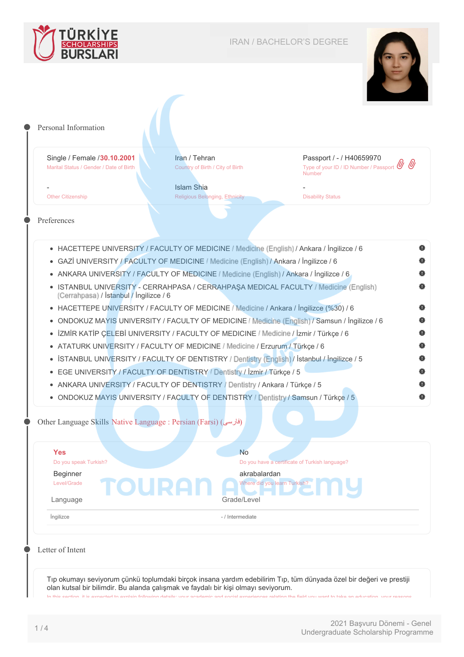



| Marital Status / Gender / Date of Birth                                       | Iran / Tehran<br>Country of Birth / City of Birth                                            | Passport / - / H40659970<br>Type of your ID / ID Number / Passport $\omega$<br><b>Number</b> |
|-------------------------------------------------------------------------------|----------------------------------------------------------------------------------------------|----------------------------------------------------------------------------------------------|
| <b>Other Citizenship</b>                                                      | <b>Islam Shia</b><br><b>Religious Belonging, Ethnicity</b>                                   | <b>Disability Status</b>                                                                     |
| Preferences                                                                   |                                                                                              |                                                                                              |
|                                                                               | • HACETTEPE UNIVERSITY / FACULTY OF MEDICINE / Medicine (English) / Ankara / İngilizce / 6   |                                                                                              |
|                                                                               | • GAZİ UNIVERSITY / FACULTY OF MEDICINE / Medicine (English) / Ankara / İngilizce / 6        |                                                                                              |
|                                                                               | • ANKARA UNIVERSITY / FACULTY OF MEDICINE / Medicine (English) / Ankara / İngilizce / 6      |                                                                                              |
| (Cerrahpasa) / İstanbul / İngilizce / 6                                       | · ISTANBUL UNIVERSITY - CERRAHPASA / CERRAHPAŞA MEDICAL FACULTY / Medicine (English)         |                                                                                              |
|                                                                               | • HACETTEPE UNIVERSITY / FACULTY OF MEDICINE / Medicine / Ankara / İngilizce (%30) / 6       |                                                                                              |
| ۰                                                                             | ONDOKUZ MAYIS UNIVERSITY / FACULTY OF MEDICINE / Medicine (English) / Samsun / İngilizce / 6 |                                                                                              |
|                                                                               |                                                                                              |                                                                                              |
| $\bullet$                                                                     | İZMİR KATİP ÇELEBİ UNIVERSITY / FACULTY OF MEDICINE / Medicine / İzmir / Türkçe / 6          |                                                                                              |
|                                                                               | · ATATURK UNIVERSITY / FACULTY OF MEDICINE / Medicine / Erzurum / Türkçe / 6                 |                                                                                              |
| $\bullet$                                                                     | İSTANBUL UNIVERSITY / FACULTY OF DENTISTRY / Dentistry (English) / İstanbul / İngilizce / 5  |                                                                                              |
| $\bullet$                                                                     | EGE UNIVERSITY / FACULTY OF DENTISTRY / Dentistry / İzmir / Türkçe / 5                       |                                                                                              |
|                                                                               | • ANKARA UNIVERSITY / FACULTY OF DENTISTRY / Dentistry / Ankara / Türkçe / 5                 |                                                                                              |
|                                                                               | • ONDOKUZ MAYIS UNIVERSITY / FACULTY OF DENTISTRY / Dentistry / Samsun / Türkçe / 5          |                                                                                              |
| Other Language Skills Native Language : Persian (Farsi) (فارسی)<br><b>Yes</b> | <b>No</b>                                                                                    |                                                                                              |
| Do you speak Turkish?                                                         |                                                                                              | Do you have a certificate of Turkish language?                                               |
| <b>Beginner</b>                                                               | akrabalardan                                                                                 |                                                                                              |
| Level/Grade<br>Language                                                       | TOURAN<br>Grade/Level                                                                        | Where did you learn Turkish?                                                                 |
| Ingilizce                                                                     | - / Intermediate                                                                             |                                                                                              |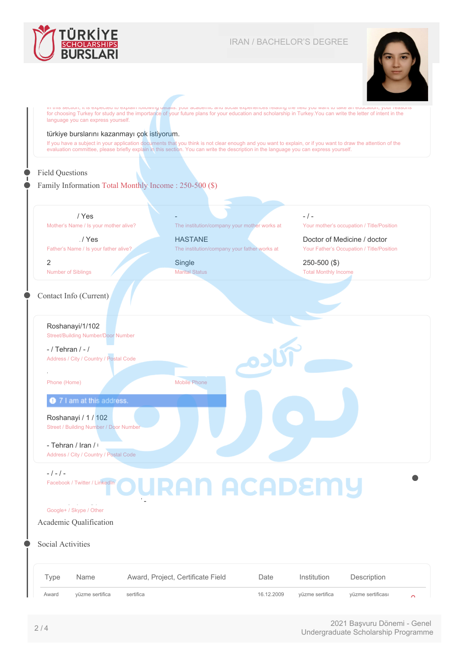

# IRAN / BACHELOR'S DEGREE



In this section, it is expected to explain following details: your academic and social experiences relating the field you want to take an education, your reasons for choosing Turkey for study and the importance of your future plans for your education and scholarship in Turkey.You can write the letter of intent in the language you can express yourself.

#### türkiye burslarını kazanmayı çok istiyorum.

If you have a subject in your application documents that you think is not clear enough and you want to explain, or if you want to draw the attention of the<br>evaluation committee, please briefly explain in this section. You

### Field Questions

## Family Information Total Monthly Income : 250-500 (\$)

/ Yes - - / - Mother's Name / Is your mother alive? The institution/company your mother works at Your mother's occupation / Title/Position HASTANE / Yes Doctor of Medicine / doctor Father's Name / Is your father alive? The institution/company your father works at Your Father's Occupation / Title/Position  $\overline{2}$ **Single** 250-500 (\$) Number of Siblings Marital Status Total Monthly Income Contact Info (Current) Roshanayi/1/102 Street/Building Number/Door Number  $-$  / Tehran  $/ - /$ Address / City / Country / Postal Code +989124866647 Phone (Home) Mobile Phone **O** 7 I am at this address Roshanayi / 1 / 102 Street / Building Number / Door Number - Tehran / Iran / I Address / City / Country / Postal Code - / - / - **RAN ACADEMY** Facebook / Twitter / LinkedIn melikagorji80@yahoo.com / - / - Google+ / Skype / Other Academic Qualification Social Activities Type Name Award, Project, Certificate Field Date Institution Description Award yüzme sertifica sertifica 16.12.2009 yüzme sertifica yüzme sertificası  $\mathcal{L}_{\text{max}}$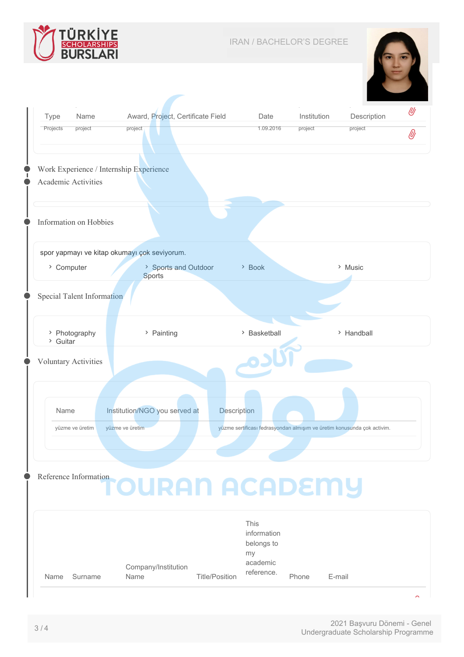

# IRAN / BACHELOR'S DEGREE



| Type                        |                            |                                              |                                                                         |             |             |  |
|-----------------------------|----------------------------|----------------------------------------------|-------------------------------------------------------------------------|-------------|-------------|--|
|                             | Name                       | Award, Project, Certificate Field            | Date                                                                    | Institution | Description |  |
| Projects                    | project                    | project                                      | 1.09.2016                                                               | project     | project     |  |
| Academic Activities         |                            | Work Experience / Internship Experience      |                                                                         |             |             |  |
|                             | Information on Hobbies     |                                              |                                                                         |             |             |  |
|                             |                            | spor yapmayı ve kitap okumayı çok seviyorum. |                                                                         |             |             |  |
| > Computer                  |                            | > Sports and Outdoor<br><b>Sports</b>        | $\geq$ Book                                                             |             | > Music     |  |
|                             | Special Talent Information |                                              |                                                                         |             |             |  |
| > Photography<br>> Guitar   |                            | > Painting                                   | > Basketball                                                            |             | > Handball  |  |
|                             |                            |                                              |                                                                         |             |             |  |
|                             |                            |                                              |                                                                         |             |             |  |
|                             |                            |                                              |                                                                         |             |             |  |
| Name                        |                            | Institution/NGO you served at                | <b>Description</b>                                                      |             |             |  |
| yüzme ve üretim             |                            | yüzme ve üretim                              | yüzme sertificası fedrasyondan almışım ve üretim konusunda çok activim. |             |             |  |
| <b>Voluntary Activities</b> |                            |                                              |                                                                         |             |             |  |
|                             |                            |                                              |                                                                         |             |             |  |
| Reference Information       |                            | <b>TOURAN ACADEMY</b>                        |                                                                         |             |             |  |

 $\hat{L}$